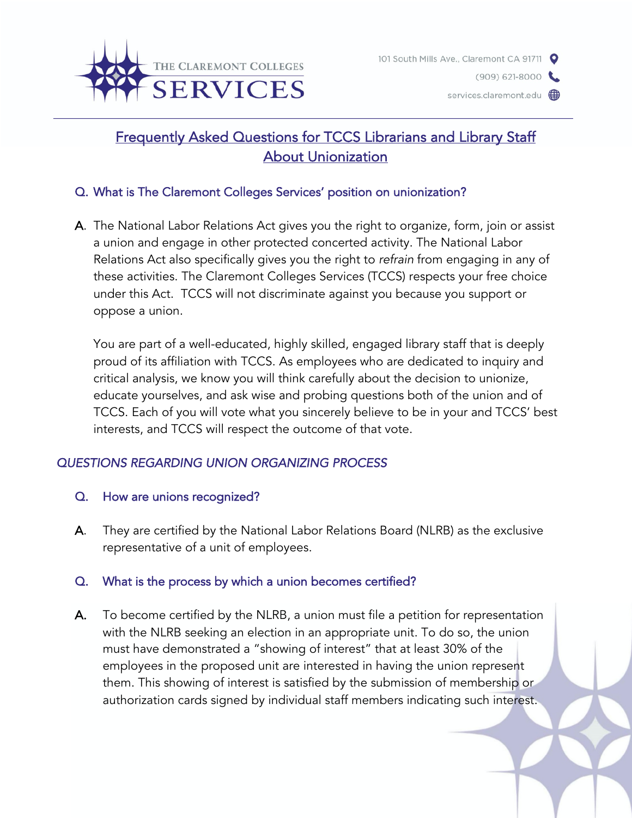



# Frequently Asked Questions for TCCS Librarians and Library Staff About Unionization

# Q. What is The Claremont Colleges Services' position on unionization?

A. The National Labor Relations Act gives you the right to organize, form, join or assist a union and engage in other protected concerted activity. The National Labor Relations Act also specifically gives you the right to *refrain* from engaging in any of these activities. The Claremont Colleges Services (TCCS) respects your free choice under this Act. TCCS will not discriminate against you because you support or oppose a union.

You are part of a well-educated, highly skilled, engaged library staff that is deeply proud of its affiliation with TCCS. As employees who are dedicated to inquiry and critical analysis, we know you will think carefully about the decision to unionize, educate yourselves, and ask wise and probing questions both of the union and of TCCS. Each of you will vote what you sincerely believe to be in your and TCCS' best interests, and TCCS will respect the outcome of that vote.

# *QUESTIONS REGARDING UNION ORGANIZING PROCESS*

- Q. How are unions recognized?
- A. They are certified by the National Labor Relations Board (NLRB) as the exclusive representative of a unit of employees.

### Q. What is the process by which a union becomes certified?

A. To become certified by the NLRB, a union must file a petition for representation with the NLRB seeking an election in an appropriate unit. To do so, the union must have demonstrated a "showing of interest" that at least 30% of the employees in the proposed unit are interested in having the union represent them. This showing of interest is satisfied by the submission of membership or authorization cards signed by individual staff members indicating such interest.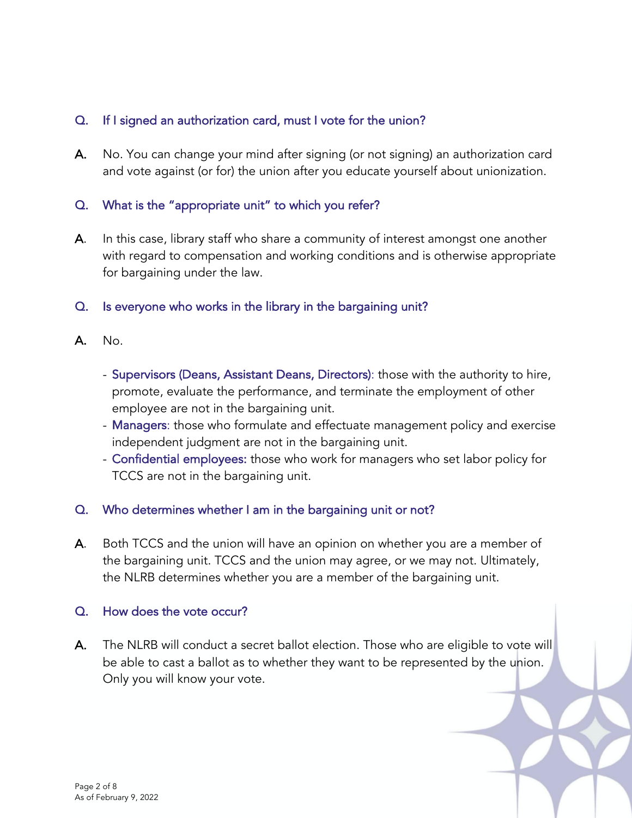## Q. If I signed an authorization card, must I vote for the union?

A. No. You can change your mind after signing (or not signing) an authorization card and vote against (or for) the union after you educate yourself about unionization.

# Q. What is the "appropriate unit" to which you refer?

- A. In this case, library staff who share a community of interest amongst one another with regard to compensation and working conditions and is otherwise appropriate for bargaining under the law.
- Q. Is everyone who works in the library in the bargaining unit?
- A. No.
	- Supervisors (Deans, Assistant Deans, Directors): those with the authority to hire, promote, evaluate the performance, and terminate the employment of other employee are not in the bargaining unit.
	- Managers: those who formulate and effectuate management policy and exercise independent judgment are not in the bargaining unit.
	- Confidential employees: those who work for managers who set labor policy for TCCS are not in the bargaining unit.

# Q. Who determines whether I am in the bargaining unit or not?

A. Both TCCS and the union will have an opinion on whether you are a member of the bargaining unit. TCCS and the union may agree, or we may not. Ultimately, the NLRB determines whether you are a member of the bargaining unit.

### Q. How does the vote occur?

A. The NLRB will conduct a secret ballot election. Those who are eligible to vote will be able to cast a ballot as to whether they want to be represented by the union. Only you will know your vote.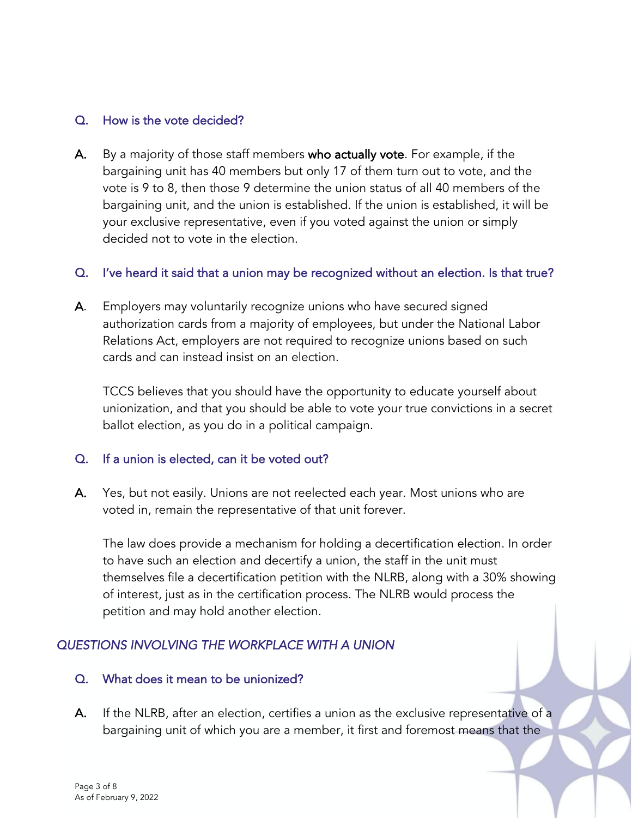### Q. How is the vote decided?

A. By a majority of those staff members who actually vote. For example, if the bargaining unit has 40 members but only 17 of them turn out to vote, and the vote is 9 to 8, then those 9 determine the union status of all 40 members of the bargaining unit, and the union is established. If the union is established, it will be your exclusive representative, even if you voted against the union or simply decided not to vote in the election.

#### Q. I've heard it said that a union may be recognized without an election. Is that true?

A. Employers may voluntarily recognize unions who have secured signed authorization cards from a majority of employees, but under the National Labor Relations Act, employers are not required to recognize unions based on such cards and can instead insist on an election.

TCCS believes that you should have the opportunity to educate yourself about unionization, and that you should be able to vote your true convictions in a secret ballot election, as you do in a political campaign.

### Q. If a union is elected, can it be voted out?

A. Yes, but not easily. Unions are not reelected each year. Most unions who are voted in, remain the representative of that unit forever.

The law does provide a mechanism for holding a decertification election. In order to have such an election and decertify a union, the staff in the unit must themselves file a decertification petition with the NLRB, along with a 30% showing of interest, just as in the certification process. The NLRB would process the petition and may hold another election.

# *QUESTIONS INVOLVING THE WORKPLACE WITH A UNION*

### Q. What does it mean to be unionized?

A. If the NLRB, after an election, certifies a union as the exclusive representative of a bargaining unit of which you are a member, it first and foremost means that the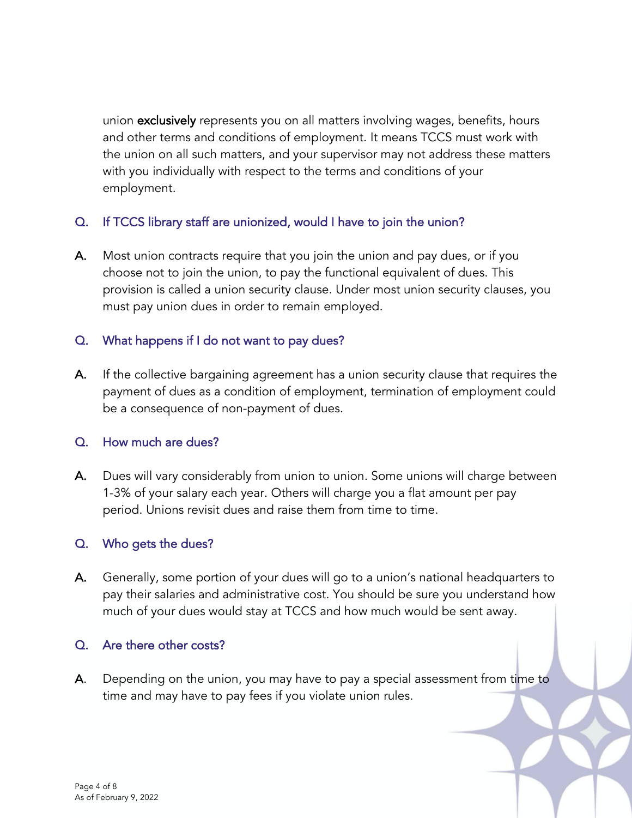union exclusively represents you on all matters involving wages, benefits, hours and other terms and conditions of employment. It means TCCS must work with the union on all such matters, and your supervisor may not address these matters with you individually with respect to the terms and conditions of your employment.

# Q. If TCCS library staff are unionized, would I have to join the union?

A. Most union contracts require that you join the union and pay dues, or if you choose not to join the union, to pay the functional equivalent of dues. This provision is called a union security clause. Under most union security clauses, you must pay union dues in order to remain employed.

# Q. What happens if I do not want to pay dues?

A. If the collective bargaining agreement has a union security clause that requires the payment of dues as a condition of employment, termination of employment could be a consequence of non-payment of dues.

### Q. How much are dues?

A. Dues will vary considerably from union to union. Some unions will charge between 1-3% of your salary each year. Others will charge you a flat amount per pay period. Unions revisit dues and raise them from time to time.

# Q. Who gets the dues?

A. Generally, some portion of your dues will go to a union's national headquarters to pay their salaries and administrative cost. You should be sure you understand how much of your dues would stay at TCCS and how much would be sent away.

### Q. Are there other costs?

A. Depending on the union, you may have to pay a special assessment from time to time and may have to pay fees if you violate union rules.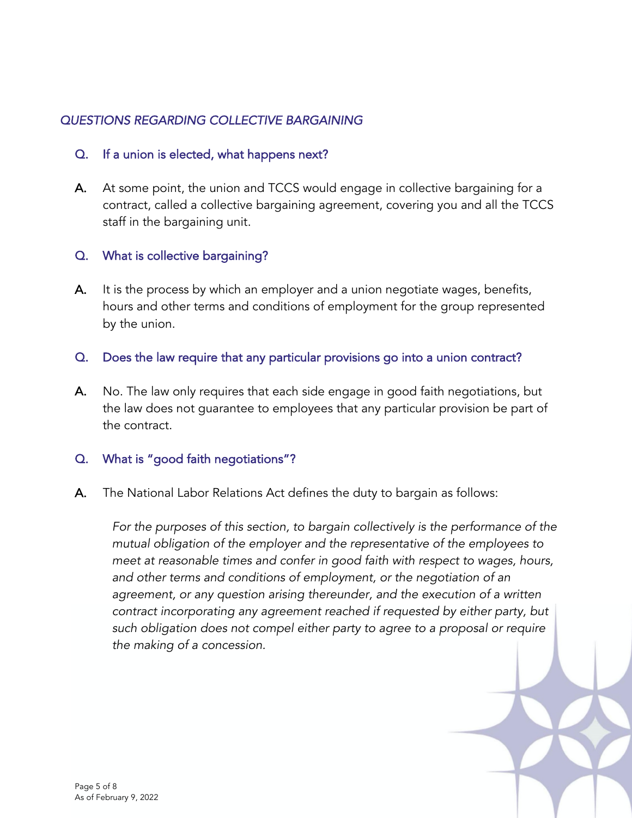# *QUESTIONS REGARDING COLLECTIVE BARGAINING*

#### Q. If a union is elected, what happens next?

A. At some point, the union and TCCS would engage in collective bargaining for a contract, called a collective bargaining agreement, covering you and all the TCCS staff in the bargaining unit.

### Q. What is collective bargaining?

A. It is the process by which an employer and a union negotiate wages, benefits, hours and other terms and conditions of employment for the group represented by the union.

#### Q. Does the law require that any particular provisions go into a union contract?

A. No. The law only requires that each side engage in good faith negotiations, but the law does not guarantee to employees that any particular provision be part of the contract.

#### Q. What is "good faith negotiations"?

A. The National Labor Relations Act defines the duty to bargain as follows:

*For the purposes of this section, to bargain collectively is the performance of the mutual obligation of the employer and the representative of the employees to meet at reasonable times and confer in good faith with respect to wages, hours, and other terms and conditions of employment, or the negotiation of an*  agreement, or any question arising thereunder, and the execution of a written *contract incorporating any agreement reached if requested by either party, but such obligation does not compel either party to agree to a proposal or require the making of a concession.*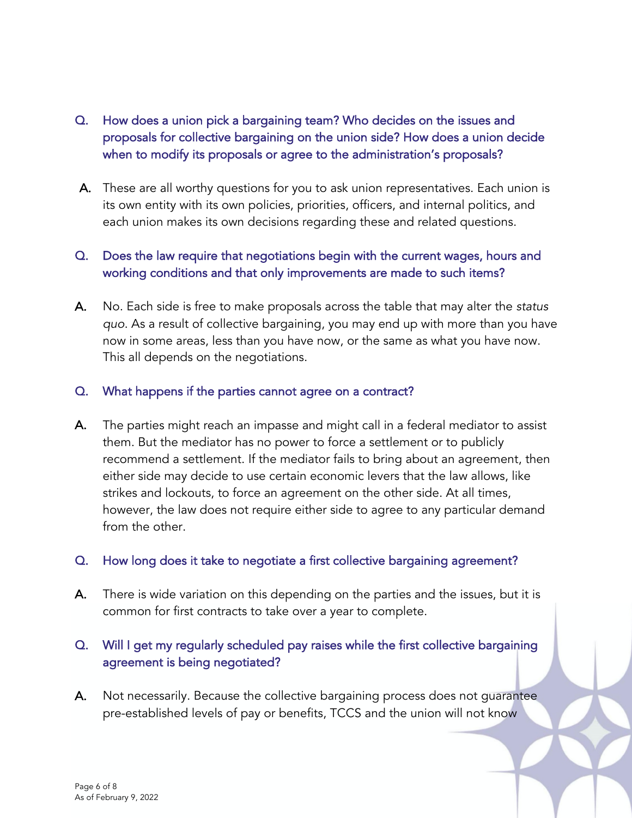# Q. How does a union pick a bargaining team? Who decides on the issues and proposals for collective bargaining on the union side? How does a union decide when to modify its proposals or agree to the administration's proposals?

A. These are all worthy questions for you to ask union representatives. Each union is its own entity with its own policies, priorities, officers, and internal politics, and each union makes its own decisions regarding these and related questions.

# Q. Does the law require that negotiations begin with the current wages, hours and working conditions and that only improvements are made to such items?

A. No. Each side is free to make proposals across the table that may alter the *status quo*. As a result of collective bargaining, you may end up with more than you have now in some areas, less than you have now, or the same as what you have now. This all depends on the negotiations.

### Q. What happens if the parties cannot agree on a contract?

A. The parties might reach an impasse and might call in a federal mediator to assist them. But the mediator has no power to force a settlement or to publicly recommend a settlement. If the mediator fails to bring about an agreement, then either side may decide to use certain economic levers that the law allows, like strikes and lockouts, to force an agreement on the other side. At all times, however, the law does not require either side to agree to any particular demand from the other.

### Q. How long does it take to negotiate a first collective bargaining agreement?

A. There is wide variation on this depending on the parties and the issues, but it is common for first contracts to take over a year to complete.

# Q. Will I get my regularly scheduled pay raises while the first collective bargaining agreement is being negotiated?

A. Not necessarily. Because the collective bargaining process does not guarantee pre-established levels of pay or benefits, TCCS and the union will not know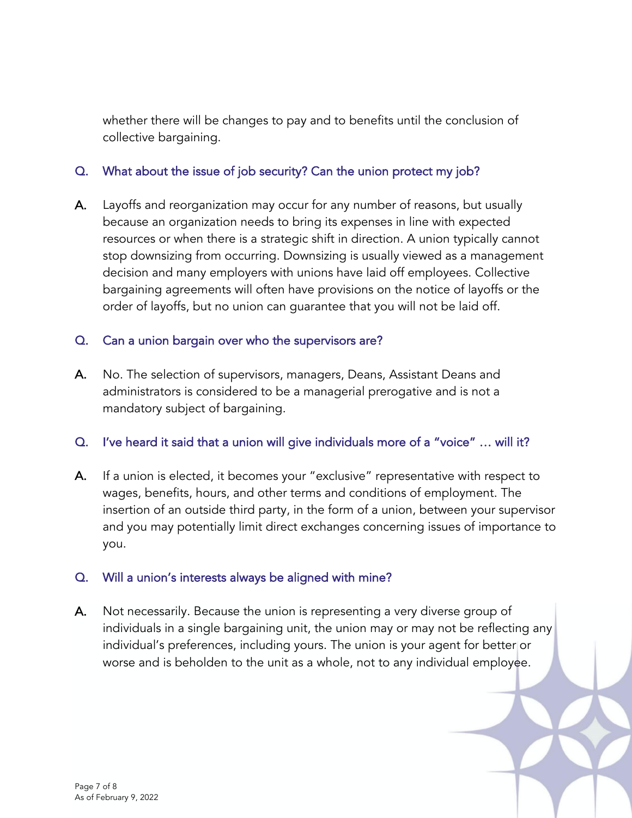whether there will be changes to pay and to benefits until the conclusion of collective bargaining.

# Q. What about the issue of job security? Can the union protect my job?

A. Layoffs and reorganization may occur for any number of reasons, but usually because an organization needs to bring its expenses in line with expected resources or when there is a strategic shift in direction. A union typically cannot stop downsizing from occurring. Downsizing is usually viewed as a management decision and many employers with unions have laid off employees. Collective bargaining agreements will often have provisions on the notice of layoffs or the order of layoffs, but no union can guarantee that you will not be laid off.

# Q. Can a union bargain over who the supervisors are?

A. No. The selection of supervisors, managers, Deans, Assistant Deans and administrators is considered to be a managerial prerogative and is not a mandatory subject of bargaining.

### Q. I've heard it said that a union will give individuals more of a "voice" … will it?

A. If a union is elected, it becomes your "exclusive" representative with respect to wages, benefits, hours, and other terms and conditions of employment. The insertion of an outside third party, in the form of a union, between your supervisor and you may potentially limit direct exchanges concerning issues of importance to you.

### Q. Will a union's interests always be aligned with mine?

A. Not necessarily. Because the union is representing a very diverse group of individuals in a single bargaining unit, the union may or may not be reflecting any individual's preferences, including yours. The union is your agent for better or worse and is beholden to the unit as a whole, not to any individual employee.